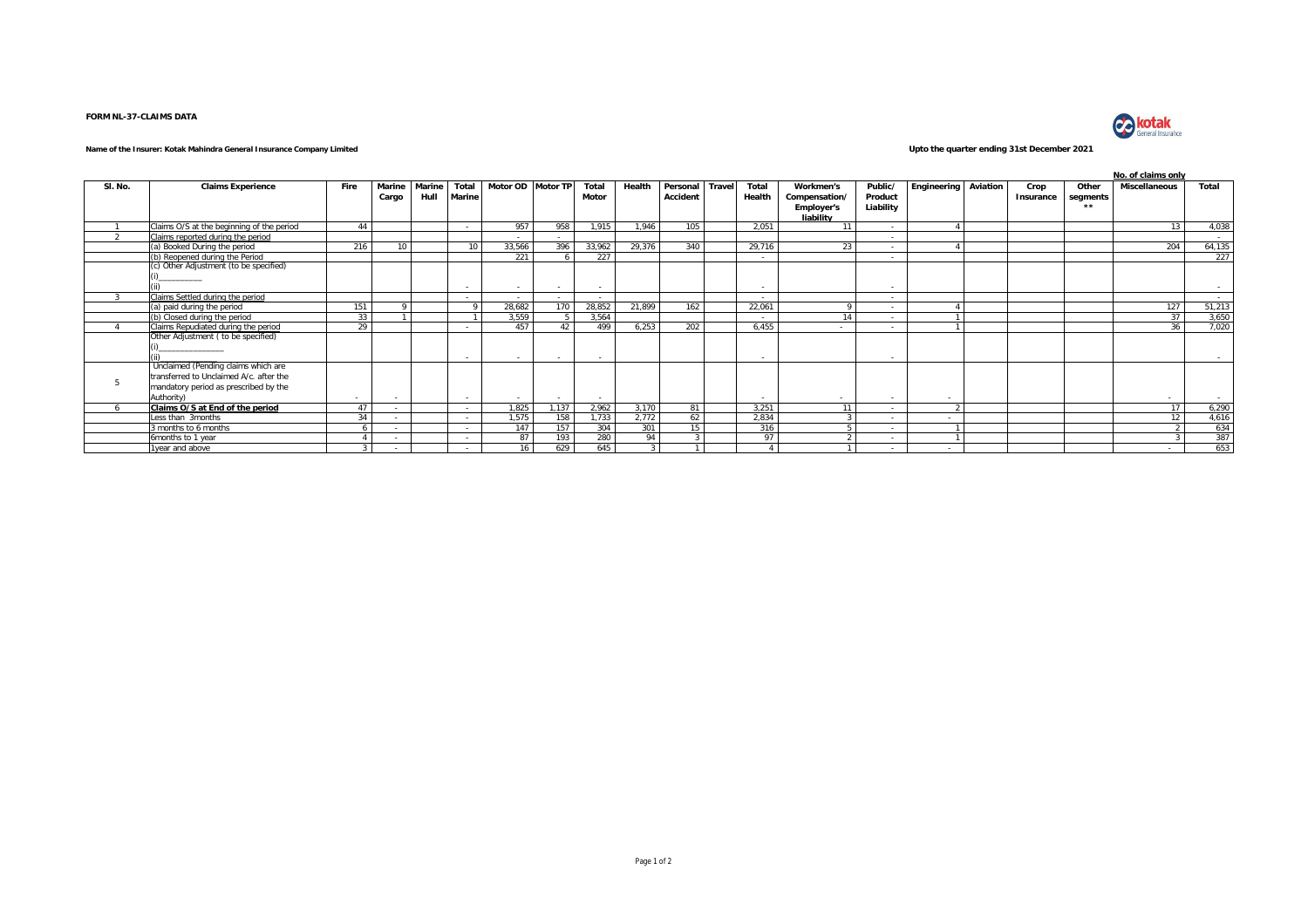## **FORM NL-37-CLAIMS DATA**



## **Name of the Insurer: Kotak Mahindra General Insurance Company Limited Upto the quarter ending 31st December 2021**

|         |                                           |                |        |        |                 |                   |       |        |        |          |              |                          |                   |           |             |          |           |          | No. of claims only   |                |
|---------|-------------------------------------------|----------------|--------|--------|-----------------|-------------------|-------|--------|--------|----------|--------------|--------------------------|-------------------|-----------|-------------|----------|-----------|----------|----------------------|----------------|
| SI. No. | <b>Claims Experience</b>                  | Fire           | Marine | Marine | Total           | Motor OD Motor TP |       | Total  | Health | Personal | <b>Trave</b> | Total                    | Workmen's         | Public/   | Engineering | Aviation | Crop      | Other    | <b>Miscellaneous</b> | Total          |
|         |                                           |                | Cargo  | Hull   | Marine          |                   |       | Motor  |        | Accident |              | Health                   | Compensation/     | Product   |             |          | Insurance | segments |                      |                |
|         |                                           |                |        |        |                 |                   |       |        |        |          |              |                          | <b>Employer's</b> | Liability |             |          |           | $+ +$    |                      |                |
|         |                                           |                |        |        |                 |                   |       |        |        |          |              |                          | liability         |           |             |          |           |          |                      |                |
|         | Claims O/S at the beginning of the period | 44             |        |        | $\sim$          | 957               | 958   | 1.915  | 1.946  | 105      |              | 2.051                    | 11                | $\sim$    |             |          |           |          | 13                   | 4,038          |
|         | Claims reported during the period         |                |        |        |                 |                   |       |        |        |          |              |                          |                   | $\sim$    |             |          |           |          |                      | <b>Service</b> |
|         | a) Booked During the period               | 216            | 10     |        | 10 <sup>1</sup> | 33,566            | 396   | 33,962 | 29,376 | 340      |              | 29,716                   | 23                |           |             |          |           |          | 204                  | 64,135         |
|         | (b) Reopened during the Period            |                |        |        |                 | 221               |       | 227    |        |          |              | $\sim$                   |                   | $\sim$    |             |          |           |          |                      | 227            |
|         | (c) Other Adjustment (to be specified)    |                |        |        |                 |                   |       |        |        |          |              |                          |                   |           |             |          |           |          |                      |                |
|         |                                           |                |        |        |                 |                   |       |        |        |          |              |                          |                   |           |             |          |           |          |                      |                |
|         |                                           |                |        |        |                 | $\sim$            |       | $\sim$ |        |          |              | $\sim$                   |                   |           |             |          |           |          |                      | $\sim$         |
|         | Claims Settled during the period          |                |        |        |                 | $\sim$            |       | ۰.     |        |          |              | $\sim$                   |                   | $\sim$    |             |          |           |          |                      | <b>Service</b> |
|         | a) paid during the period                 | 151            |        |        | $\Omega$        | 28.682            | 170   | 28.852 | 21.899 | 162      |              | 22.061                   |                   | $\sim$    |             |          |           |          | 127                  | 51,213         |
|         | (b) Closed during the period              | 33             |        |        |                 | 3.559             |       | 3.564  |        |          |              | $\sim$                   | 14                | $\sim$    |             |          |           |          | 37                   | 3,650          |
|         | Claims Repudiated during the period       | 29             |        |        |                 | 457               | 42    | 499    | 6.253  | 202      |              | 6.455                    | $\sim$            | $\sim$    |             |          |           |          | 36                   | 7,020          |
|         | Other Adjustment (to be specified)        |                |        |        |                 |                   |       |        |        |          |              |                          |                   |           |             |          |           |          |                      |                |
|         |                                           |                |        |        |                 |                   |       |        |        |          |              |                          |                   |           |             |          |           |          |                      |                |
|         |                                           |                |        |        | $\sim$          |                   |       | $\sim$ |        |          |              |                          |                   |           |             |          |           |          |                      | <b>Service</b> |
|         | Unclaimed (Pending claims which are       |                |        |        |                 |                   |       |        |        |          |              |                          |                   |           |             |          |           |          |                      |                |
|         | transferred to Unclaimed A/c. after the   |                |        |        |                 |                   |       |        |        |          |              |                          |                   |           |             |          |           |          |                      |                |
|         | mandatory period as prescribed by the     |                |        |        |                 |                   |       |        |        |          |              |                          |                   |           |             |          |           |          |                      |                |
|         | Authority)                                | ۰              |        |        |                 | $\sim$            |       | $\sim$ |        |          |              | $\overline{\phantom{a}}$ | $\sim$            | $\sim$    |             |          |           |          |                      | <b>Service</b> |
|         | Claims O/S at End of the period           | 47             |        |        |                 | 1,825             | 1.137 | 2.962  | 3.170  | 81       |              | 3.251                    | 11                | $\sim$    |             |          |           |          | 17                   | 6,290          |
|         | Less than 3months                         | 34             |        |        | $\sim$          | 1.575             | 158   | 1.733  | 2.772  | 62       |              | 2.834                    |                   | $\sim$    | $\sim$      |          |           |          | 12                   | 4,616          |
|         | months to 6 months                        | $\overline{a}$ |        |        |                 | 147               | 157   | 304    | 301    | 15       |              | 316                      |                   | $\sim$    |             |          |           |          |                      | 634            |
|         | 6months to 1 year                         |                |        |        |                 | 87                | 193   | 280    | 94     |          |              | 97                       |                   |           |             |          |           |          |                      | 387            |
|         | 1year and above                           |                |        |        |                 | 16                | 629   | 645    |        |          |              |                          |                   | $\sim$    | $\sim$      |          |           |          |                      | 653            |